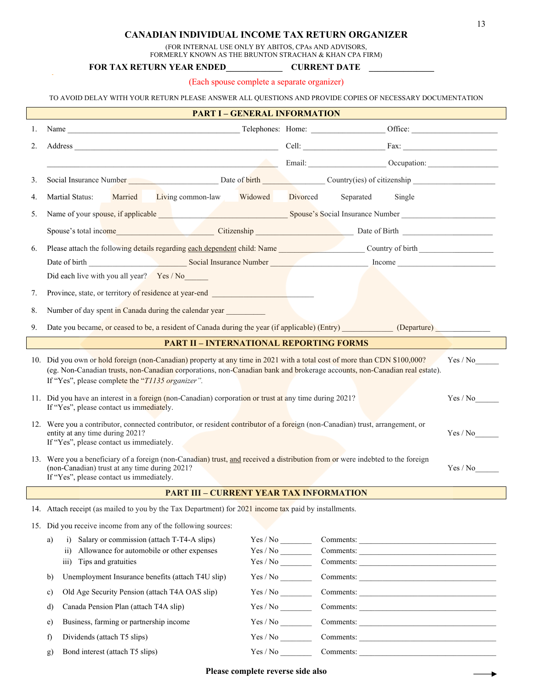## **CANADIAN INDIVIDUAL INCOME TAX RETURN ORGANIZER**

(FOR INTERNAL USE ONLY BY ABITOS, CPAs AND ADVISORS,

FORMERLY KNOWN AS THE BRUNTON STRACHAN & KHAN CPA FIRM)

## **FOR TAX RETURN YEAR ENDED\_\_\_\_\_\_\_\_\_\_\_\_\_ CURRENT DATE \_\_\_\_\_\_\_\_\_\_\_\_\_\_\_**

(Each spouse complete a separate organizer)

| TO AVOID DELAY WITH YOUR RETURN PLEASE ANSWER ALL OUESTIONS AND PROVIDE COPIES OF NECESSARY DOCUMENTATION |  |
|-----------------------------------------------------------------------------------------------------------|--|
|-----------------------------------------------------------------------------------------------------------|--|

|    | <b>PART I - GENERAL INFORMATION</b>                                                                                                                                                                                                                                                                                    |                                                                                                |  |                     |  |  |
|----|------------------------------------------------------------------------------------------------------------------------------------------------------------------------------------------------------------------------------------------------------------------------------------------------------------------------|------------------------------------------------------------------------------------------------|--|---------------------|--|--|
| 1. |                                                                                                                                                                                                                                                                                                                        |                                                                                                |  |                     |  |  |
| 2. |                                                                                                                                                                                                                                                                                                                        |                                                                                                |  |                     |  |  |
|    | Email: Contract Contract Contract Contract Contract Contract Contract Contract Contract Contract Contract Contract Contract Contract Contract Contract Contract Contract Contract Contract Contract Contract Contract Contract                                                                                         |                                                                                                |  |                     |  |  |
|    |                                                                                                                                                                                                                                                                                                                        |                                                                                                |  |                     |  |  |
| 3. | Social Insurance Number Date of birth Country(ies) of citizenship                                                                                                                                                                                                                                                      |                                                                                                |  |                     |  |  |
| 4. | Martial Status: Married Living common-law Widowed Divorced                                                                                                                                                                                                                                                             |                                                                                                |  | Separated<br>Single |  |  |
| 5. |                                                                                                                                                                                                                                                                                                                        | Name of your spouse, if applicable <b>Supplied Containers</b> Spouse's Social Insurance Number |  |                     |  |  |
|    | Spouse's total income Citizenship Citizenship Date of Birth Discourses of Birth                                                                                                                                                                                                                                        |                                                                                                |  |                     |  |  |
| 6. | Please attach the following details regarding each dependent child: Name Country of birth Country of birth                                                                                                                                                                                                             |                                                                                                |  |                     |  |  |
|    |                                                                                                                                                                                                                                                                                                                        |                                                                                                |  |                     |  |  |
|    | Date of birth Social Insurance Number Munchen Munchen Munchen Munchen Munchen Munchen Munchen Munchen Munchen Munchen Munchen Munchen Munchen Munchen Munchen Munchen Munchen Munchen Munchen Munchen Munchen Munchen Munchen<br>Did each live with you all year? Yes / No                                             |                                                                                                |  |                     |  |  |
| 7. | Province, state, or territory of residence at year-end                                                                                                                                                                                                                                                                 |                                                                                                |  |                     |  |  |
|    |                                                                                                                                                                                                                                                                                                                        |                                                                                                |  |                     |  |  |
| 8. | Number of day spent in Canada during the calendar year __________________________                                                                                                                                                                                                                                      |                                                                                                |  |                     |  |  |
| 9. | Date you became, or ceased to be, a resident of Canada during the year (if applicable) (Entry) (Departure)                                                                                                                                                                                                             |                                                                                                |  |                     |  |  |
|    | <b>PART II - INTERNATIONAL REPORTING FORMS</b>                                                                                                                                                                                                                                                                         |                                                                                                |  |                     |  |  |
|    | 10. Did you own or hold foreign (non-Canadian) property at any time in 2021 with a total cost of more than CDN \$100,000?<br>Yes / No<br>(eg. Non-Canadian trusts, non-Canadian corporations, non-Canadian bank and brokerage accounts, non-Canadian real estate).<br>If "Yes", please complete the "T1135 organizer". |                                                                                                |  |                     |  |  |
|    | 11. Did you have an interest in a foreign (non-Canadian) corporation or trust at any time during 2021?<br>Yes / No<br>If "Yes", please contact us immediately.                                                                                                                                                         |                                                                                                |  |                     |  |  |
|    | 12. Were you a contributor, connected contributor, or resident contributor of a foreign (non-Canadian) trust, arrangement, or<br>entity at any time during 2021?<br>Yes / No<br>If "Yes", please contact us immediately.                                                                                               |                                                                                                |  |                     |  |  |
|    | 13. Were you a beneficiary of a foreign (non-Canadian) trust, and received a distribution from or were indebted to the foreign<br>(non-Canadian) trust at any time during 2021?<br>If "Yes", please contact us immediately.                                                                                            |                                                                                                |  |                     |  |  |
|    | <b>PART III - CURRENT YEAR TAX INFORMATION</b>                                                                                                                                                                                                                                                                         |                                                                                                |  |                     |  |  |
|    | 14. Attach receipt (as mailed to you by the Tax Department) for 2021 income tax paid by installments.                                                                                                                                                                                                                  |                                                                                                |  |                     |  |  |
|    | 15. Did you receive income from any of the following sources:                                                                                                                                                                                                                                                          |                                                                                                |  |                     |  |  |
|    | Salary or commission (attach T-T4-A slips)<br>a)<br>$\overline{1}$                                                                                                                                                                                                                                                     | Yes / No                                                                                       |  |                     |  |  |
|    | Allowance for automobile or other expenses<br>$\overline{11}$                                                                                                                                                                                                                                                          |                                                                                                |  |                     |  |  |
|    | iii) Tips and gratuities                                                                                                                                                                                                                                                                                               | Yes / No                                                                                       |  |                     |  |  |
|    | Unemployment Insurance benefits (attach T4U slip)<br>b)                                                                                                                                                                                                                                                                | Yes / No                                                                                       |  |                     |  |  |
|    | Old Age Security Pension (attach T4A OAS slip)<br>c)                                                                                                                                                                                                                                                                   | Yes / No                                                                                       |  |                     |  |  |
|    | Canada Pension Plan (attach T4A slip)<br>$\mathbf{d}$                                                                                                                                                                                                                                                                  | Yes / No                                                                                       |  |                     |  |  |
|    | Business, farming or partnership income<br>e)                                                                                                                                                                                                                                                                          | Yes / No                                                                                       |  | Comments:           |  |  |
|    | f)<br>Dividends (attach T5 slips)                                                                                                                                                                                                                                                                                      | Yes / No                                                                                       |  |                     |  |  |
|    | Bond interest (attach T5 slips)<br>$\mathbf{g}$                                                                                                                                                                                                                                                                        |                                                                                                |  | Comments:           |  |  |

÷.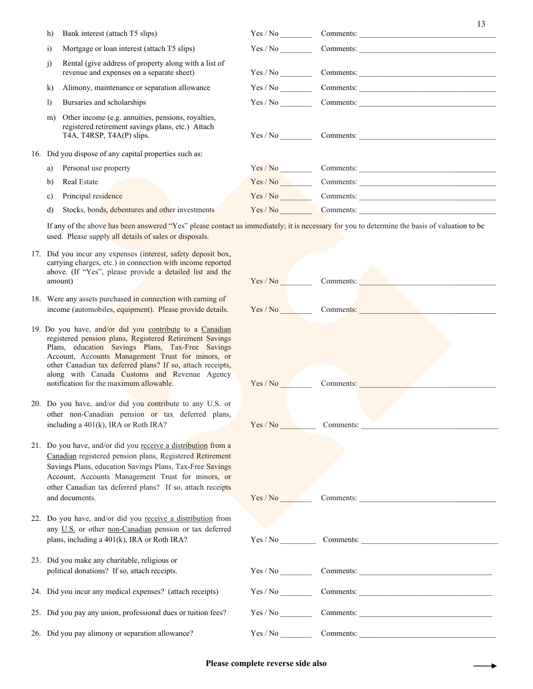| h)           | Bank interest (attach T5 slips)                                                                                                                                                                                                       | Yes / No |                                         |
|--------------|---------------------------------------------------------------------------------------------------------------------------------------------------------------------------------------------------------------------------------------|----------|-----------------------------------------|
| $\ddot{i}$   | Mortgage or loan interest (attach T5 slips)                                                                                                                                                                                           |          |                                         |
| j)           | Rental (give address of property along with a list of<br>revenue and expenses on a separate sheet)                                                                                                                                    |          |                                         |
| $\bf k$      | Alimony, maintenance or separation allowance                                                                                                                                                                                          |          | $Yes / No _______$ Comments: $ _______$ |
| $\bf{I}$     | Bursaries and scholarships                                                                                                                                                                                                            |          |                                         |
| m)           | Other income (e.g. annuities, pensions, royalties,<br>registered retirement savings plans, etc.) Attach<br>T <sub>4</sub> A, T <sub>4</sub> RSP, T <sub>4</sub> A(P) slips.<br>16. Did you dispose of any capital properties such as: |          | $Yes / No \tCommon$                     |
| a)           | Personal use property                                                                                                                                                                                                                 | Yes/No   | Comments:                               |
| $\mathbf{b}$ | Real Estate                                                                                                                                                                                                                           | Yes / No |                                         |
| C)           | Principal residence                                                                                                                                                                                                                   | Yes / No | Comments:                               |
| d)           | Stocks, bonds, debentures and other investments                                                                                                                                                                                       | Yes / No | Comments:                               |
|              |                                                                                                                                                                                                                                       |          |                                         |

If any of the above has been answered "Yes" please contact us immediately; it is necessary for you to determine the basis of valuation to be used. Please supply all details of sales or disposals.

- 17. Did you incur any expenses (interest, safety deposit box, carrying charges, etc.) in connection with income reported above. (If "Yes", please provide a detailed list and the
- 18. Were any assets purchased in connection with earning of income (automobiles, equipment). Please provide details.
- 19. Do you have, and/or did you contribute to a Canadian registered pension plans, Registered Retirement Savings Plans, education Savings Plans, Tax-Free Savings Account, Accounts Management Trust for minors, or other Canadian tax deferred plans? If so, attach receipts, along with Canada Customs and Revenue Agency notification for the maximum allowable.
- 20. Do you have, and/or did you contribute to any U.S. or other non-Canadian pension or tax deferred plans, including a  $401(k)$ , IRA or Roth IRA?
- 21. Do you have, and/or did you receive a distribution from a Canadian registered pension plans, Registered Retirement Savings Plans, education Savings Plans, Tax-Free Savings Account, Accounts Management Trust for minors, or other Canadian tax deferred plans? If so, attach receipts
- 22. Do you have, and/or did you receive a distribution from any U.S. or other non-Canadian pension or tax deferred plans, including a 401(k), IRA or Roth IRA?
- 23. Did you make any charitable, religious or political donations? If so, attach receipts.
- 24. Did you incur any medical expenses? (attach receipts)
- 25. Did you pay any union, professional dues or tuition fees?
- 26. Did you pay alimony or separation allowance?

| above. (If "Yes", please provide a detailed list and the<br>amount)                                                                                                                                                                                                                                                                    | Yes / No | Comments: |
|----------------------------------------------------------------------------------------------------------------------------------------------------------------------------------------------------------------------------------------------------------------------------------------------------------------------------------------|----------|-----------|
| Were any assets purchased in connection with earning of<br>income (automobiles, equipment). Please provide details.                                                                                                                                                                                                                    | Yes / No | Comments: |
| Do you have, and/or did you contribute to a Canadian<br>registered pension plans, Registered Retirement Savings<br>Plans, education Savings Plans, Tax-Free Savings<br>Account, Accounts Management Trust for minors, or<br>other Canadian tax deferred plans? If so, attach receipts,<br>along with Canada Customs and Revenue Agency |          |           |
| notification for the maximum allowable.                                                                                                                                                                                                                                                                                                | Yes / No | Comments: |
| Do you have, and/or did you contribute to any U.S. or<br>other non-Canadian pension or tax deferred plans,                                                                                                                                                                                                                             |          |           |
| including a 401(k), IRA or Roth IRA?                                                                                                                                                                                                                                                                                                   | Yes / No | Comments: |
| Do you have, and/or did you receive a distribution from a<br>Canadian registered pension plans, Registered Retirement<br>Savings Plans, education Savings Plans, Tax-Free Savings<br>Account, Accounts Management Trust for minors, or<br>other Canadian tax deferred plans? If so, attach receipts<br>and documents.                  | Yes / No | Comments: |
| Do you have, and/or did you receive a distribution from<br>any U.S. or other non-Canadian pension or tax deferred                                                                                                                                                                                                                      |          |           |
| plans, including a 401(k), IRA or Roth IRA?                                                                                                                                                                                                                                                                                            | Yes / No | Comments: |
| Did you make any charitable, religious or<br>political donations? If so, attach receipts.                                                                                                                                                                                                                                              |          |           |
| Did you incur any medical expenses? (attach receipts)                                                                                                                                                                                                                                                                                  | Yes / No | Comments: |
| Did you pay any union, professional dues or tuition fees?                                                                                                                                                                                                                                                                              |          | Comments: |
| Did you pay alimony or separation allowance?                                                                                                                                                                                                                                                                                           | Yes / No | Comments: |
|                                                                                                                                                                                                                                                                                                                                        |          |           |

## **Please complete reverse side also**

13